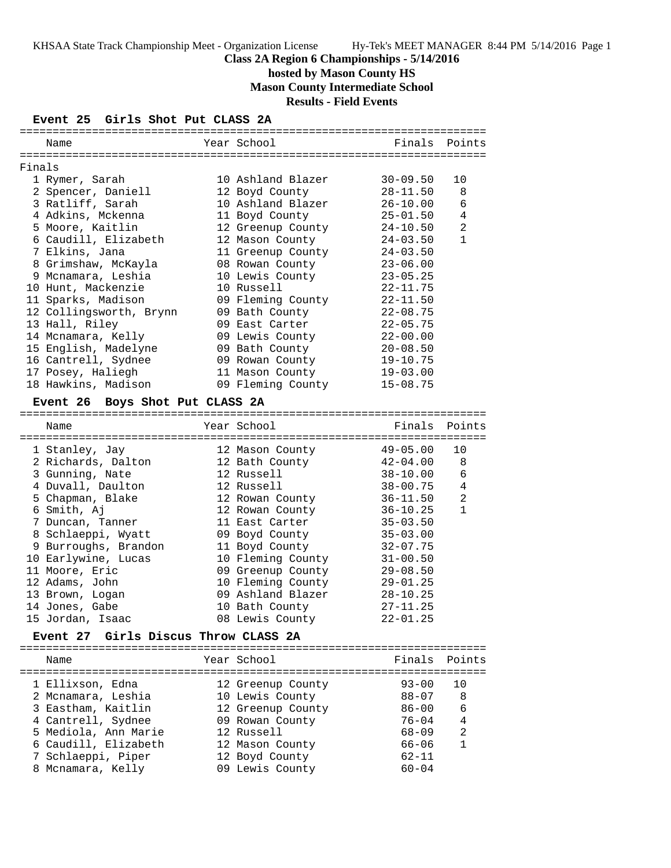## **Class 2A Region 6 Championships - 5/14/2016**

**hosted by Mason County HS**

**Mason County Intermediate School**

**Results - Field Events**

## **Event 25 Girls Shot Put CLASS 2A**

|        | Name                                           | Year School                       |                        | Finals Points  |
|--------|------------------------------------------------|-----------------------------------|------------------------|----------------|
|        |                                                |                                   |                        |                |
| Finals |                                                |                                   |                        |                |
|        | 1 Rymer, Sarah                                 | 10 Ashland Blazer                 | $30 - 09.50$           | 10             |
|        | 2 Spencer, Daniell                             | 12 Boyd County                    | $28 - 11.50$           | 8              |
|        | 3 Ratliff, Sarah                               | 10 Ashland Blazer                 | $26 - 10.00$           | 6              |
|        | 4 Adkins, Mckenna                              | 11 Boyd County                    | $25 - 01.50$           | 4              |
|        | 5 Moore, Kaitlin                               | 12 Greenup County                 | $24 - 10.50$           | 2              |
|        | 6 Caudill, Elizabeth                           | 12 Mason County                   | $24 - 03.50$           | $\mathbf{1}$   |
|        | 7 Elkins, Jana                                 | 11 Greenup County                 | $24 - 03.50$           |                |
|        | 8 Grimshaw, McKayla                            | 08 Rowan County                   | $23 - 06.00$           |                |
|        | 9 Mcnamara, Leshia                             | 10 Lewis County                   | $23 - 05.25$           |                |
|        | 10 Hunt, Mackenzie                             | 10 Russell                        | $22 - 11.75$           |                |
|        | 11 Sparks, Madison                             | 09 Fleming County                 | $22 - 11.50$           |                |
|        | 12 Collingsworth, Brynn                        | 09 Bath County                    | $22 - 08.75$           |                |
|        | 13 Hall, Riley                                 | 09 East Carter                    | $22 - 05.75$           |                |
|        | 14 Mcnamara, Kelly                             | 09 Lewis County                   | $22 - 00.00$           |                |
|        | 15 English, Madelyne                           | 09 Bath County                    | $20 - 08.50$           |                |
|        | 16 Cantrell, Sydnee                            | 09 Rowan County                   | $19 - 10.75$           |                |
|        | 17 Posey, Haliegh                              | 11 Mason County                   | $19 - 03.00$           |                |
|        | 18 Hawkins, Madison                            | 09 Fleming County                 | $15 - 08.75$           |                |
|        |                                                |                                   |                        |                |
|        | Event 26 Boys Shot Put CLASS 2A                |                                   |                        |                |
|        | Name                                           | Year School                       | Finals                 | Points         |
|        |                                                |                                   |                        |                |
|        | 1 Stanley, Jay                                 | 12 Mason County                   | $49 - 05.00$           | 10             |
|        | 2 Richards, Dalton                             | 12 Bath County                    | $42 - 04.00$           | 8              |
|        | 3 Gunning, Nate                                | 12 Russell                        | $38 - 10.00$           | 6              |
|        | 4 Duvall, Daulton                              | 12 Russell                        | $38 - 00.75$           | 4              |
|        | 5 Chapman, Blake                               | 12 Rowan County                   | $36 - 11.50$           | 2              |
|        | 6 Smith, Aj                                    | 12 Rowan County                   | $36 - 10.25$           | $\mathbf{1}$   |
|        | 7 Duncan, Tanner                               | 11 East Carter                    | $35 - 03.50$           |                |
|        | 8 Schlaeppi, Wyatt                             | 09 Boyd County                    | $35 - 03.00$           |                |
|        | 9 Burroughs, Brandon                           | 11 Boyd County                    | $32 - 07.75$           |                |
|        | 10 Earlywine, Lucas                            | 10 Fleming County                 | $31 - 00.50$           |                |
|        | 11 Moore, Eric                                 | 09 Greenup County                 | $29 - 08.50$           |                |
|        | 12 Adams, John                                 | 10 Fleming County                 | $29 - 01.25$           |                |
|        | 13 Brown, Logan                                | 09 Ashland Blazer                 | $28 - 10.25$           |                |
|        |                                                |                                   | $27 - 11.25$           |                |
|        | 14 Jones, Gabe<br>15 Jordan, Isaac             | 10 Bath County                    | $22 - 01.25$           |                |
|        |                                                | 08 Lewis County                   |                        |                |
|        | Girls Discus Throw CLASS 2A<br><b>Event 27</b> |                                   |                        |                |
|        |                                                |                                   |                        |                |
|        | Name                                           | Year School                       | Finals                 | Points         |
|        |                                                |                                   |                        |                |
|        | 1 Ellixson, Edna                               | 12 Greenup County                 | $93 - 00$              | 10             |
|        | 2 Mcnamara, Leshia                             | 10 Lewis County                   | $88 - 07$              | 8              |
|        |                                                |                                   |                        |                |
|        | 3 Eastham, Kaitlin                             | 12 Greenup County                 | $86 - 00$              | 6              |
|        | 4 Cantrell, Sydnee                             | 09 Rowan County                   | $76 - 04$              | 4              |
|        | 5 Mediola, Ann Marie                           | 12 Russell                        | $68 - 09$              | $\overline{2}$ |
|        | 6 Caudill, Elizabeth<br>7 Schlaeppi, Piper     | 12 Mason County<br>12 Boyd County | $66 - 06$<br>$62 - 11$ | $\mathbf{1}$   |

8 Mcnamara, Kelly 09 Lewis County 60-04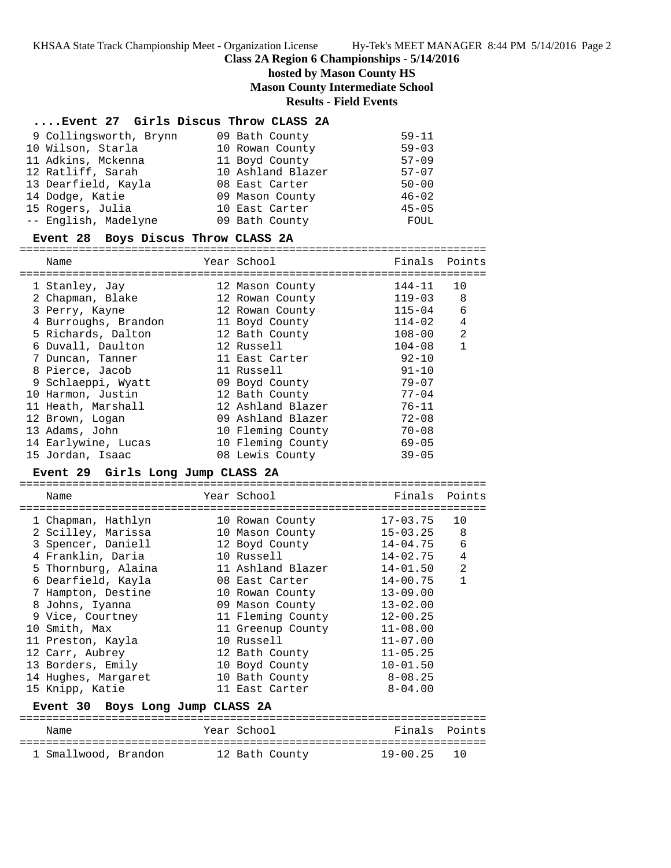## **Class 2A Region 6 Championships - 5/14/2016**

# **hosted by Mason County HS**

**Mason County Intermediate School**

**Results - Field Events**

#### **....Event 27 Girls Discus Throw CLASS 2A**

| 9 Collingsworth, Brynn | 09 Bath County    | $59 - 11$ |
|------------------------|-------------------|-----------|
| 10 Wilson, Starla      | 10 Rowan County   | $59 - 03$ |
| 11 Adkins, Mckenna     | 11 Boyd County    | $57 - 09$ |
| 12 Ratliff, Sarah      | 10 Ashland Blazer | $57 - 07$ |
| 13 Dearfield, Kayla    | 08 East Carter    | $50 - 00$ |
| 14 Dodge, Katie        | 09 Mason County   | $46 - 02$ |
| 15 Rogers, Julia       | 10 East Carter    | $45 - 05$ |
| -- English, Madelyne   | 09 Bath County    | FOUL      |

#### **Event 28 Boys Discus Throw CLASS 2A**

=======================================================================

| Name                 | Year School       | Finals     | Points |
|----------------------|-------------------|------------|--------|
| 1 Stanley, Jay       | 12 Mason County   | $144 - 11$ | 10     |
| 2 Chapman, Blake     | 12 Rowan County   | $119 - 03$ | 8      |
| 3 Perry, Kayne       | 12 Rowan County   | $115 - 04$ | 6      |
| 4 Burroughs, Brandon | 11 Boyd County    | $114 - 02$ | 4      |
| 5 Richards, Dalton   | 12 Bath County    | 108-00     | 2      |
| 6 Duvall, Daulton    | 12 Russell        | $104 - 08$ | 1      |
| 7 Duncan, Tanner     | 11 East Carter    | $92 - 10$  |        |
| 8 Pierce, Jacob      | 11 Russell        | $91 - 10$  |        |
| 9 Schlaeppi, Wyatt   | 09 Boyd County    | $79 - 07$  |        |
| 10 Harmon, Justin    | 12 Bath County    | $77 - 04$  |        |
| 11 Heath, Marshall   | 12 Ashland Blazer | $76 - 11$  |        |
| 12 Brown, Logan      | 09 Ashland Blazer | $72 - 08$  |        |
| 13 Adams, John       | 10 Fleming County | $70 - 08$  |        |
| 14 Earlywine, Lucas  | 10 Fleming County | $69 - 05$  |        |
| 15 Jordan, Isaac     | 08 Lewis County   | $39 - 05$  |        |
|                      |                   |            |        |

#### **Event 29 Girls Long Jump CLASS 2A**

======================================================================= Year School Finals Points ======================================================================= 1 Chapman, Hathlyn 10 Rowan County 17-03.75 10 2 Scilley, Marissa 10 Mason County 15-03.25 8 3 Spencer, Daniell 12 Boyd County 14-04.75 6 4 Franklin, Daria 10 Russell 14-02.75 4 5 Thornburg, Alaina 11 Ashland Blazer 14-01.50 2 6 Dearfield, Kayla 08 East Carter 14-00.75 1 7 Hampton, Destine 10 Rowan County 13-09.00 8 Johns, Iyanna 09 Mason County 13-02.00 9 Vice, Courtney 11 Fleming County 12-00.25 10 Smith, Max 11 Greenup County 11-08.00 11 Preston, Kayla 10 Russell 11-07.00 12 Carr, Aubrey 12 Bath County 11-05.25 13 Borders, Emily 10 Boyd County 10-01.50 14 Hughes, Margaret 10 Bath County 8-08.25 15 Knipp, Katie 11 East Carter 8-04.00 **Event 30 Boys Long Jump CLASS 2A** ======================================================================= Name Year School Finals Points

| Name                 | rear School    |             | FINAIS POINLS |
|----------------------|----------------|-------------|---------------|
|                      |                |             |               |
| 1 Smallwood, Brandon | 12 Bath County | 19-00.25 10 |               |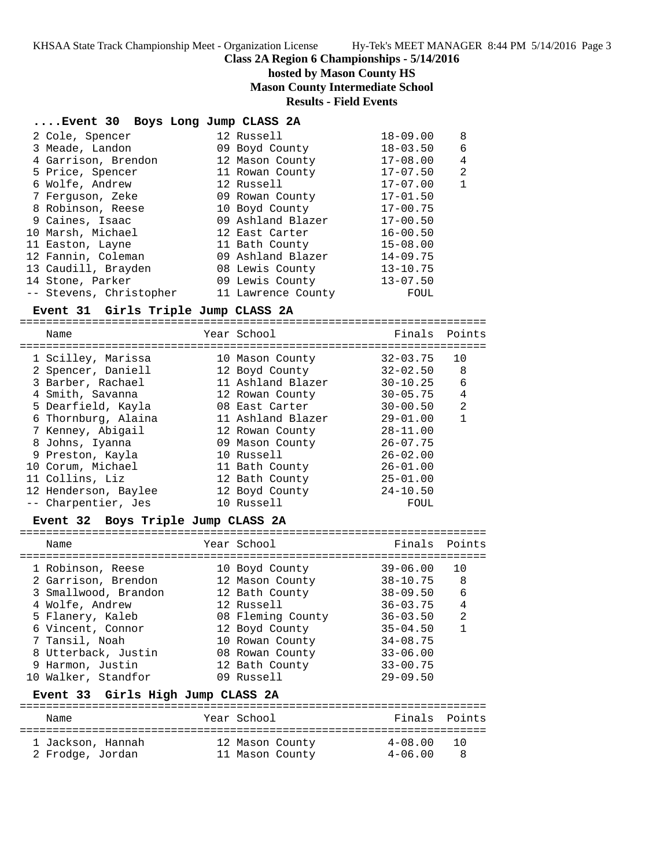KHSAA State Track Championship Meet - Organization License Hy-Tek's MEET MANAGER 8:44 PM 5/14/2016 Page 3

## **Class 2A Region 6 Championships - 5/14/2016**

## **hosted by Mason County HS Mason County Intermediate School**

## **Results - Field Events**

## **....Event 30 Boys Long Jump CLASS 2A**

| 2 Cole, Spencer         | 12 Russell         | $18 - 09.00$ | 8 |
|-------------------------|--------------------|--------------|---|
| 3 Meade, Landon         | 09 Boyd County     | $18 - 03.50$ | 6 |
| 4 Garrison, Brendon     | 12 Mason County    | $17 - 08.00$ | 4 |
| 5 Price, Spencer        | 11 Rowan County    | $17 - 07.50$ | 2 |
| 6 Wolfe, Andrew         | 12 Russell         | $17 - 07.00$ | 1 |
| 7 Ferguson, Zeke        | 09 Rowan County    | $17 - 01.50$ |   |
| 8 Robinson, Reese       | 10 Boyd County     | $17 - 00.75$ |   |
| 9 Caines, Isaac         | 09 Ashland Blazer  | $17 - 00.50$ |   |
| 10 Marsh, Michael       | 12 East Carter     | $16 - 00.50$ |   |
| 11 Easton, Layne        | 11 Bath County     | $15 - 08.00$ |   |
| 12 Fannin, Coleman      | 09 Ashland Blazer  | $14 - 09.75$ |   |
| 13 Caudill, Brayden     | 08 Lewis County    | $13 - 10.75$ |   |
| 14 Stone, Parker        | 09 Lewis County    | $13 - 07.50$ |   |
| -- Stevens, Christopher | 11 Lawrence County | FOUL         |   |

## **Event 31 Girls Triple Jump CLASS 2A**

=======================================================================

| Name |                                                                                                                                                                                                                                                                                   | Finals Points                                                                                                                                                                                                                                           |    |
|------|-----------------------------------------------------------------------------------------------------------------------------------------------------------------------------------------------------------------------------------------------------------------------------------|---------------------------------------------------------------------------------------------------------------------------------------------------------------------------------------------------------------------------------------------------------|----|
|      |                                                                                                                                                                                                                                                                                   | $32 - 03.75$                                                                                                                                                                                                                                            | 10 |
|      |                                                                                                                                                                                                                                                                                   | $32 - 02.50$                                                                                                                                                                                                                                            | 8  |
|      |                                                                                                                                                                                                                                                                                   | $30 - 10.25$                                                                                                                                                                                                                                            | 6  |
|      |                                                                                                                                                                                                                                                                                   | $30 - 05.75$                                                                                                                                                                                                                                            | 4  |
|      |                                                                                                                                                                                                                                                                                   | $30 - 00.50$                                                                                                                                                                                                                                            | 2  |
|      |                                                                                                                                                                                                                                                                                   | $29 - 01.00$                                                                                                                                                                                                                                            | 1  |
|      |                                                                                                                                                                                                                                                                                   | $28 - 11.00$                                                                                                                                                                                                                                            |    |
|      |                                                                                                                                                                                                                                                                                   | $26 - 07.75$                                                                                                                                                                                                                                            |    |
|      |                                                                                                                                                                                                                                                                                   | $26 - 02.00$                                                                                                                                                                                                                                            |    |
|      |                                                                                                                                                                                                                                                                                   | $26 - 01.00$                                                                                                                                                                                                                                            |    |
|      |                                                                                                                                                                                                                                                                                   | $25 - 01.00$                                                                                                                                                                                                                                            |    |
|      |                                                                                                                                                                                                                                                                                   | $24 - 10.50$                                                                                                                                                                                                                                            |    |
|      |                                                                                                                                                                                                                                                                                   | FOUL                                                                                                                                                                                                                                                    |    |
|      | 1 Scilley, Marissa<br>2 Spencer, Daniell<br>3 Barber, Rachael<br>4 Smith, Savanna<br>5 Dearfield, Kayla<br>6 Thornburg, Alaina<br>7 Kenney, Abigail<br>8 Johns, Iyanna<br>9 Preston, Kayla<br>10 Corum, Michael<br>11 Collins, Liz<br>12 Henderson, Baylee<br>-- Charpentier, Jes | Year School<br>10 Mason County<br>12 Boyd County<br>11 Ashland Blazer<br>12 Rowan County<br>08 East Carter<br>11 Ashland Blazer<br>12 Rowan County<br>09 Mason County<br>10 Russell<br>11 Bath County<br>12 Bath County<br>12 Boyd County<br>10 Russell |    |

## **Event 32 Boys Triple Jump CLASS 2A**

| Name                 | Year School       | Finals Points |                |
|----------------------|-------------------|---------------|----------------|
| 1 Robinson, Reese    | 10 Boyd County    | $39 - 06.00$  | 10             |
| 2 Garrison, Brendon  | 12 Mason County   | $38 - 10.75$  | 8              |
| 3 Smallwood, Brandon | 12 Bath County    | $38 - 09.50$  | 6              |
| 4 Wolfe, Andrew      | 12 Russell        | $36 - 03.75$  | 4              |
| 5 Flanery, Kaleb     | 08 Fleming County | $36 - 03.50$  | $\overline{2}$ |
| 6 Vincent, Connor    | 12 Boyd County    | $35 - 04.50$  |                |
| 7 Tansil, Noah       | 10 Rowan County   | $34 - 08.75$  |                |
| 8 Utterback, Justin  | 08 Rowan County   | $33 - 06.00$  |                |
| 9 Harmon, Justin     | 12 Bath County    | $33 - 00.75$  |                |
| 10 Walker, Standfor  | 09 Russell        | $29 - 09.50$  |                |
|                      |                   |               |                |

## **Event 33 Girls High Jump CLASS 2A**

| Name              | Year School     | Finals Points |       |
|-------------------|-----------------|---------------|-------|
| 1 Jackson, Hannah | 12 Mason County | $4 - 08.00$   | ່ 1 ດ |
| 2 Frodge, Jordan  | 11 Mason County | $4 - 06.00$   | -8    |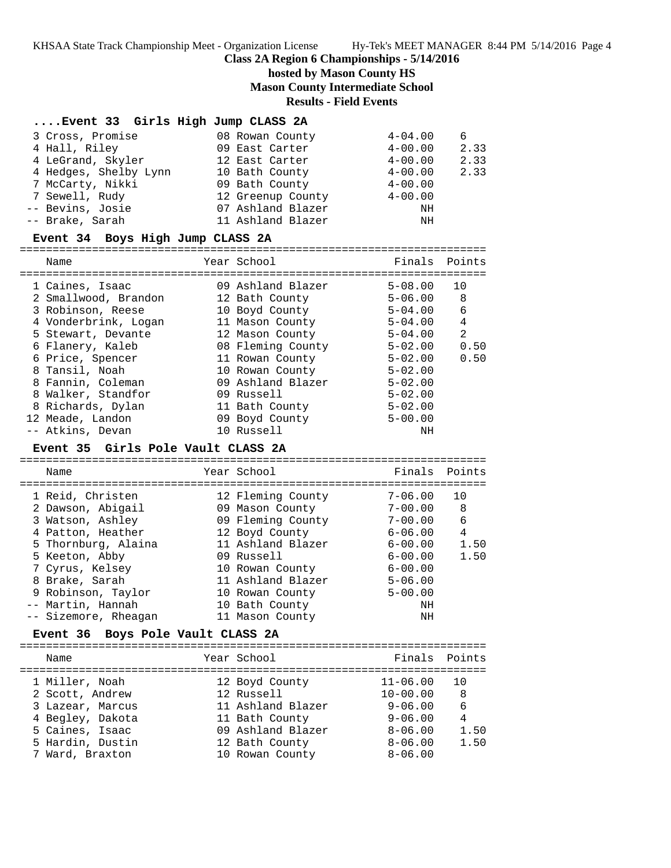KHSAA State Track Championship Meet - Organization License Hy-Tek's MEET MANAGER 8:44 PM 5/14/2016 Page 4

#### **Class 2A Region 6 Championships - 5/14/2016**

## **hosted by Mason County HS**

**Mason County Intermediate School**

#### **Results - Field Events**

#### **....Event 33 Girls High Jump CLASS 2A**

| 3 Cross, Promise      | 08 Rowan County   | $4 - 04.00$ | 6    |
|-----------------------|-------------------|-------------|------|
| 4 Hall, Riley         | 09 East Carter    | $4 - 00.00$ | 2.33 |
| 4 LeGrand, Skyler     | 12 East Carter    | $4 - 00.00$ | 2.33 |
| 4 Hedges, Shelby Lynn | 10 Bath County    | $4 - 00.00$ | 2.33 |
| 7 McCarty, Nikki      | 09 Bath County    | $4 - 00.00$ |      |
| 7 Sewell, Rudy        | 12 Greenup County | $4 - 00.00$ |      |
| -- Bevins, Josie      | 07 Ashland Blazer | ΝH          |      |
| -- Brake, Sarah       | 11 Ashland Blazer | ΝH          |      |

#### **Event 34 Boys High Jump CLASS 2A**

======================================================================= Name Year School Finals Points ======================================================================= 1 Caines, Isaac 09 Ashland Blazer 5-08.00 10 2 Smallwood, Brandon 12 Bath County 5-06.00 8 3 Robinson, Reese 10 Boyd County 5-04.00 6 4 Vonderbrink, Logan 11 Mason County 5-04.00 4 5 Stewart, Devante 12 Mason County 5-04.00 2 6 Flanery, Kaleb 08 Fleming County 5-02.00 0.50 6 Price, Spencer 11 Rowan County 5-02.00 0.50 8 Tansil, Noah 10 Rowan County 5-02.00 8 Fannin, Coleman 09 Ashland Blazer 5-02.00 8 Walker, Standfor 09 Russell 5-02.00 8 Richards, Dylan 11 Bath County 5-02.00 12 Meade, Landon 09 Boyd County 5-00.00 -- Atkins, Devan 10 Russell NH

#### **Event 35 Girls Pole Vault CLASS 2A**

======================================================================= Name Year School Finals Points ======================================================================= 1 Reid, Christen 12 Fleming County 7-06.00 10 2 Dawson, Abigail 09 Mason County 7-00.00 8 3 Watson, Ashley 09 Fleming County 7-00.00 6 4 Patton, Heather 12 Boyd County 6-06.00 4 5 Thornburg, Alaina 11 Ashland Blazer 6-00.00 1.50 5 Keeton, Abby 09 Russell 6-00.00 1.50 7 Cyrus, Kelsey 10 Rowan County 6-00.00 8 Brake, Sarah 11 Ashland Blazer 5-06.00 9 Robinson, Taylor 10 Rowan County 5-00.00 -- Martin, Hannah 10 Bath County NH -- Sizemore, Rheagan 11 Mason County NH

#### **Event 36 Boys Pole Vault CLASS 2A**

=======================================================================

| Name             | Year School       | Finals Points |      |
|------------------|-------------------|---------------|------|
| 1 Miller, Noah   | 12 Boyd County    | $11 - 06.00$  | 10   |
| 2 Scott, Andrew  | 12 Russell        | $10 - 00.00$  | 8    |
| 3 Lazear, Marcus | 11 Ashland Blazer | $9 - 06.00$   | 6    |
| 4 Begley, Dakota | 11 Bath County    | $9 - 06.00$   | 4    |
| 5 Caines, Isaac  | 09 Ashland Blazer | $8 - 06.00$   | 1.50 |
| 5 Hardin, Dustin | 12 Bath County    | $8 - 06.00$   | 1.50 |
| 7 Ward, Braxton  | 10 Rowan County   | $8 - 06.00$   |      |
|                  |                   |               |      |